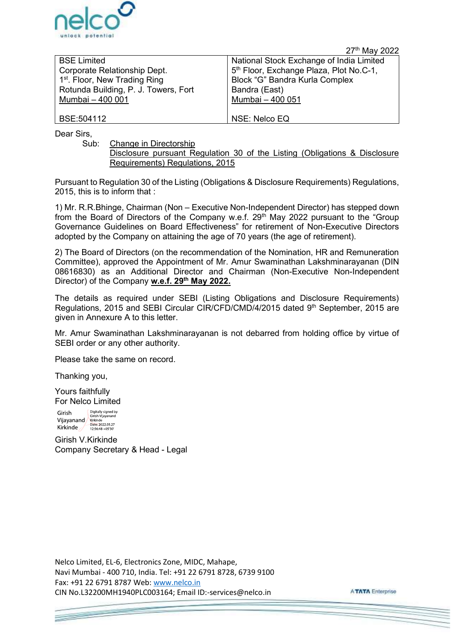

| unlock potential                                                                                                                                            | 27th May 2022                                                                                                                                                                                                                                                                            |  |
|-------------------------------------------------------------------------------------------------------------------------------------------------------------|------------------------------------------------------------------------------------------------------------------------------------------------------------------------------------------------------------------------------------------------------------------------------------------|--|
| <b>BSE Limited</b><br>Corporate Relationship Dept.<br>1 <sup>st</sup> . Floor, New Trading Ring<br>Rotunda Building, P. J. Towers, Fort<br>Mumbai - 400 001 | National Stock Exchange of India Limited<br>5th Floor, Exchange Plaza, Plot No.C-1,<br>Block "G" Bandra Kurla Complex<br>Bandra (East)<br>Mumbai - 400 051                                                                                                                               |  |
| BSE:504112                                                                                                                                                  | NSE: Nelco EQ                                                                                                                                                                                                                                                                            |  |
| Dear Sirs,<br>Change in Directorship<br>Sub:<br>Requirements) Regulations, 2015                                                                             | Disclosure pursuant Regulation 30 of the Listing (Obligations & Disclosure                                                                                                                                                                                                               |  |
| 2015, this is to inform that :                                                                                                                              | Pursuant to Regulation 30 of the Listing (Obligations & Disclosure Requirements) Regulations,                                                                                                                                                                                            |  |
| adopted by the Company on attaining the age of 70 years (the age of retirement).                                                                            | 1) Mr. R.R.Bhinge, Chairman (Non - Executive Non-Independent Director) has stepped down<br>from the Board of Directors of the Company w.e.f. 29 <sup>th</sup> May 2022 pursuant to the "Group<br>Governance Guidelines on Board Effectiveness" for retirement of Non-Executive Directors |  |
|                                                                                                                                                             | 2) The Board of Directors (on the recommendation of the Nomination, HR and Remuneration                                                                                                                                                                                                  |  |

2) The Board of Directors (on the recommendation of the Nomination, HR and Remuneration Committee), approved the Appointment of Mr. Amur Swaminathan Lakshminarayanan (DIN 08616830) as an Additional Director and Chairman (Non-Executive Non-Independent Director) of the Company w.e.f. 29<sup>th</sup> May 2022.

The details as required under SEBI (Listing Obligations and Disclosure Requirements) Regulations, 2015 and SEBI Circular CIR/CFD/CMD/4/2015 dated 9<sup>th</sup> September, 2015 are given in Annexure A to this letter.

Mr. Amur Swaminathan Lakshminarayanan is not debarred from holding office by virtue of SEBI order or any other authority.

Please take the same on record.

Thanking you,

Yours faithfully For Nelco Limited

Digitally signed by Girish Girish Vijayanano Vijavanand Kirkinde<br>Kirkinde<br>Date: 2022.05.27<br>12:56:48 +05'30' **Kirkinde** 

Girish V.Kirkinde Company Secretary & Head - Legal

Nelco Limited, EL-6, Electronics Zone, MIDC, Mahape, Navi Mumbai - 400 710, India. Tel: +91 22 6791 8728, 6739 9100 Fax: +91 22 6791 8787 Web: www.nelco.in<br>CIN No.L32200MH1940PLC003164: Email ID:-services@nelco.in

**ATATA** Enterprise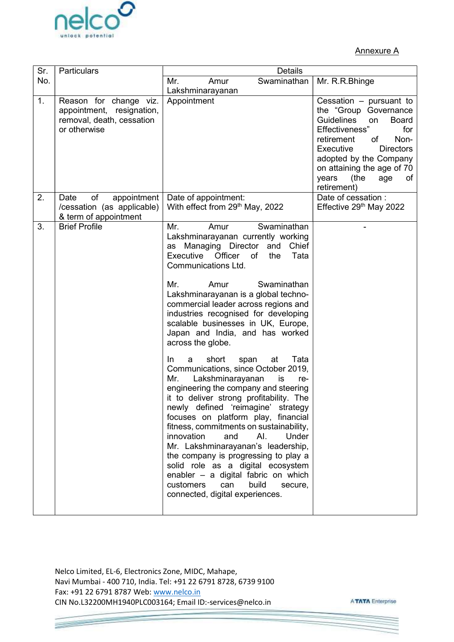

|     |                                                                                                     |                                                                                                                                                                                                                                                                                                                                                                                                                                                                                                                                                                                                                                                                                                                                                                                                                                                                                                                                                                                                                                            | <b>Annexure A</b>                                                                                                                                                                                                                                                                         |
|-----|-----------------------------------------------------------------------------------------------------|--------------------------------------------------------------------------------------------------------------------------------------------------------------------------------------------------------------------------------------------------------------------------------------------------------------------------------------------------------------------------------------------------------------------------------------------------------------------------------------------------------------------------------------------------------------------------------------------------------------------------------------------------------------------------------------------------------------------------------------------------------------------------------------------------------------------------------------------------------------------------------------------------------------------------------------------------------------------------------------------------------------------------------------------|-------------------------------------------------------------------------------------------------------------------------------------------------------------------------------------------------------------------------------------------------------------------------------------------|
| Sr. | Particulars                                                                                         | <b>Details</b>                                                                                                                                                                                                                                                                                                                                                                                                                                                                                                                                                                                                                                                                                                                                                                                                                                                                                                                                                                                                                             |                                                                                                                                                                                                                                                                                           |
| No. |                                                                                                     | Mr.<br>Amur<br>Swaminathan                                                                                                                                                                                                                                                                                                                                                                                                                                                                                                                                                                                                                                                                                                                                                                                                                                                                                                                                                                                                                 | Mr. R.R.Bhinge                                                                                                                                                                                                                                                                            |
| 1.  | Reason for change viz.<br>appointment,<br>resignation,<br>removal, death, cessation<br>or otherwise | Lakshminarayanan<br>Appointment                                                                                                                                                                                                                                                                                                                                                                                                                                                                                                                                                                                                                                                                                                                                                                                                                                                                                                                                                                                                            | Cessation - pursuant to<br>the "Group<br>Governance<br><b>Guidelines</b><br><b>Board</b><br>on<br>Effectiveness"<br>for<br>of<br>retirement<br>Non-<br>Executive<br><b>Directors</b><br>adopted by the Company<br>on attaining the age of 70<br>(the<br>years<br>оf<br>age<br>retirement) |
| 2.  | of<br>Date<br>appointment<br>/cessation (as applicable)<br>& term of appointment                    | Date of appointment:<br>With effect from $29th$ May, 2022                                                                                                                                                                                                                                                                                                                                                                                                                                                                                                                                                                                                                                                                                                                                                                                                                                                                                                                                                                                  | Date of cessation:<br>Effective 29th May 2022                                                                                                                                                                                                                                             |
|     | <b>Brief Profile</b>                                                                                | Swaminathan<br>Mr.<br>Amur<br>Lakshminarayanan currently working<br>as Managing Director and Chief<br>Executive Officer of<br>Tata<br>the<br><b>Communications Ltd.</b><br>Swaminathan<br>Mr.<br>Amur<br>Lakshminarayanan is a global techno-<br>commercial leader across regions and<br>industries recognised for developing<br>scalable businesses in UK, Europe,<br>Japan and India, and has worked<br>across the globe.<br>short<br>Tata<br>In.<br>a<br>span<br>at<br>Communications, since October 2019,<br>Lakshminarayanan<br>Mr.<br>is<br>re-<br>engineering the company and steering<br>it to deliver strong profitability. The<br>newly defined 'reimagine' strategy<br>focuses on platform play, financial<br>fitness, commitments on sustainability,<br>innovation<br>AI.<br>Under<br>and<br>Mr. Lakshminarayanan's leadership,<br>the company is progressing to play a<br>solid role as a digital ecosystem<br>enabler - a digital fabric on which<br>build<br>customers<br>can<br>secure,<br>connected, digital experiences. |                                                                                                                                                                                                                                                                                           |

Nelco Limited, EL-6, Electronics Zone, MIDC, Mahape, Navi Mumbai - 400 710, India. Tel: +91 22 6791 8728, 6739 9100 Fax: +91 22 6791 8787 Web: www.nelco.in<br>CIN No.L32200MH1940PLC003164; Email ID:-services@nelco.in

**ATATA Enterprise**